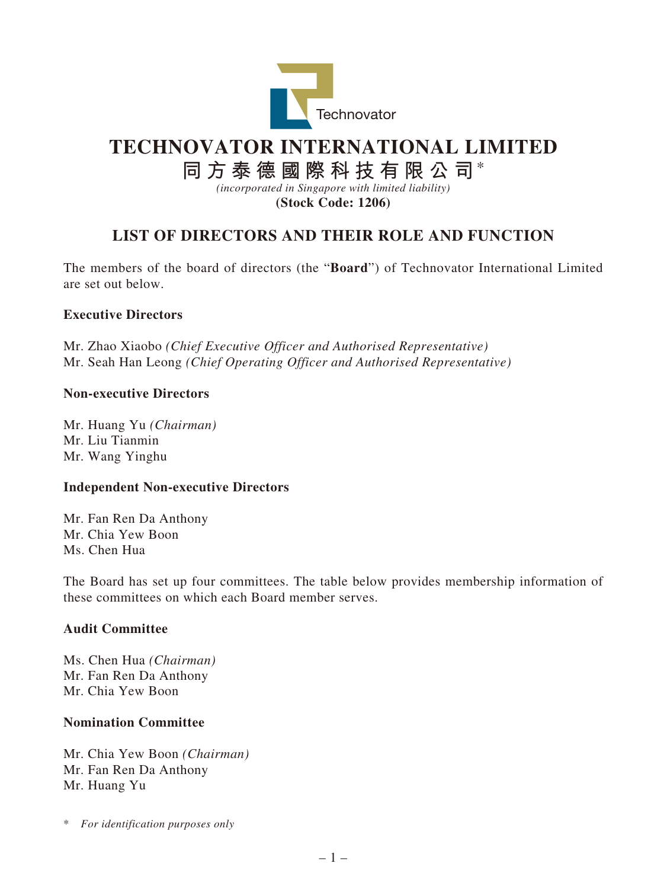

# **TECHNOVATOR INTERNATIONAL LIMITED**

**同方泰德國際科技有限公司**\*

*(incorporated in Singapore with limited liability)*

**(Stock Code: 1206)**

# **LIST OF DIRECTORS AND THEIR ROLE AND FUNCTION**

The members of the board of directors (the "**Board**") of Technovator International Limited are set out below.

## **Executive Directors**

Mr. Zhao Xiaobo *(Chief Executive Officer and Authorised Representative)* Mr. Seah Han Leong *(Chief Operating Officer and Authorised Representative)*

## **Non-executive Directors**

Mr. Huang Yu *(Chairman)* Mr. Liu Tianmin Mr. Wang Yinghu

#### **Independent Non-executive Directors**

Mr. Fan Ren Da Anthony Mr. Chia Yew Boon Ms. Chen Hua

The Board has set up four committees. The table below provides membership information of these committees on which each Board member serves.

#### **Audit Committee**

Ms. Chen Hua *(Chairman)* Mr. Fan Ren Da Anthony Mr. Chia Yew Boon

#### **Nomination Committee**

Mr. Chia Yew Boon *(Chairman)* Mr. Fan Ren Da Anthony Mr. Huang Yu

\* *For identification purposes only*